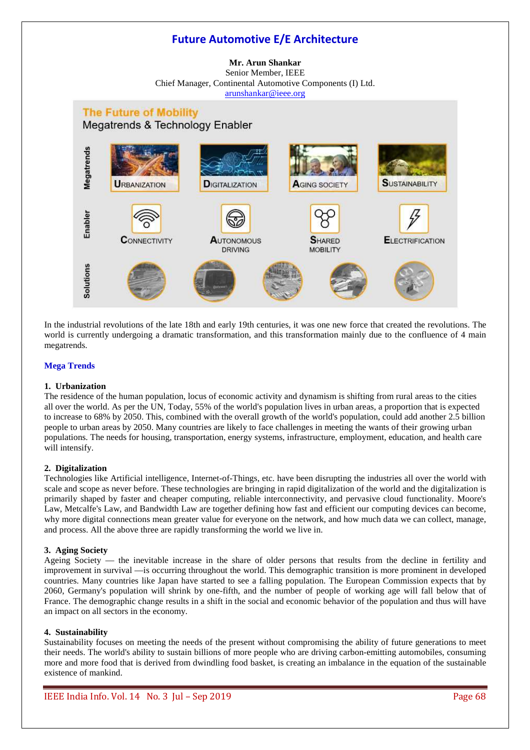# **Future Automotive E/E Architecture**

# **Mr. Arun Shankar**  Senior Member, IEEE Chief Manager, Continental Automotive Components (I) Ltd. arunshankar@ieee.org



In the industrial revolutions of the late 18th and early 19th centuries, it was one new force that created the revolutions. The world is currently undergoing a dramatic transformation, and this transformation mainly due to the confluence of 4 main megatrends.

# **Mega Trends**

# **1. Urbanization**

The residence of the human population, locus of economic activity and dynamism is shifting from rural areas to the cities all over the world. As per the UN, Today, 55% of the world's population lives in urban areas, a proportion that is expected to increase to 68% by 2050. This, combined with the overall growth of the world's population, could add another 2.5 billion people to urban areas by 2050. Many countries are likely to face challenges in meeting the wants of their growing urban populations. The needs for housing, transportation, energy systems, infrastructure, employment, education, and health care will intensify.

# **2. Digitalization**

Technologies like Artificial intelligence, Internet-of-Things, etc. have been disrupting the industries all over the world with scale and scope as never before. These technologies are bringing in rapid digitalization of the world and the digitalization is primarily shaped by faster and cheaper computing, reliable interconnectivity, and pervasive cloud functionality. Moore's Law, Metcalfe's Law, and Bandwidth Law are together defining how fast and efficient our computing devices can become, why more digital connections mean greater value for everyone on the network, and how much data we can collect, manage, and process. All the above three are rapidly transforming the world we live in.

# **3. Aging Society**

Ageing Society — the inevitable increase in the share of older persons that results from the decline in fertility and improvement in survival —is occurring throughout the world. This demographic transition is more prominent in developed countries. Many countries like Japan have started to see a falling population. The European Commission expects that by 2060, Germany's population will shrink by one-fifth, and the number of people of working age will fall below that of France. The demographic change results in a shift in the social and economic behavior of the population and thus will have an impact on all sectors in the economy.

### **4. Sustainability**

Sustainability focuses on meeting the needs of the present without compromising the ability of future generations to meet their needs. The world's ability to sustain billions of more people who are driving carbon-emitting automobiles, consuming more and more food that is derived from dwindling food basket, is creating an imbalance in the equation of the sustainable existence of mankind.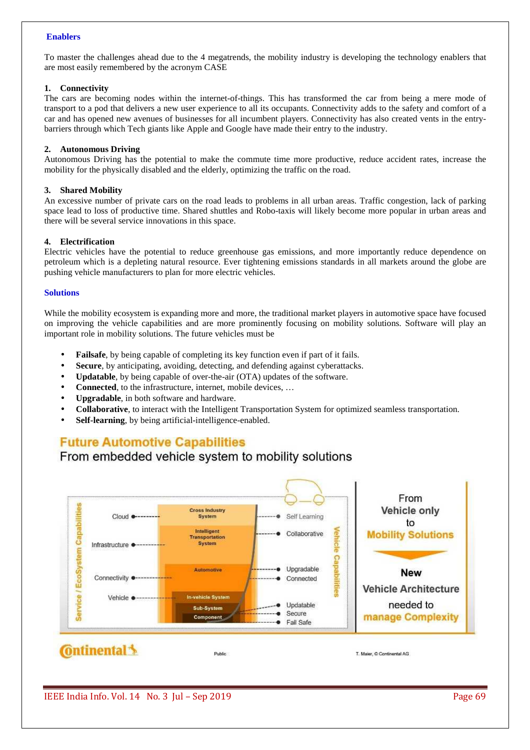# **Enablers**

To master the challenges ahead due to the 4 megatrends, the mobility industry is developing the technology enablers that are most easily remembered by the acronym CASE

### **1. Connectivity**

The cars are becoming nodes within the internet-of-things. This has transformed the car from being a mere mode of transport to a pod that delivers a new user experience to all its occupants. Connectivity adds to the safety and comfort of a car and has opened new avenues of businesses for all incumbent players. Connectivity has also created vents in the entrybarriers through which Tech giants like Apple and Google have made their entry to the industry.

# **2. Autonomous Driving**

Autonomous Driving has the potential to make the commute time more productive, reduce accident rates, increase the mobility for the physically disabled and the elderly, optimizing the traffic on the road.

# **3. Shared Mobility**

An excessive number of private cars on the road leads to problems in all urban areas. Traffic congestion, lack of parking space lead to loss of productive time. Shared shuttles and Robo-taxis will likely become more popular in urban areas and there will be several service innovations in this space.

# **4. Electrification**

Electric vehicles have the potential to reduce greenhouse gas emissions, and more importantly reduce dependence on petroleum which is a depleting natural resource. Ever tightening emissions standards in all markets around the globe are pushing vehicle manufacturers to plan for more electric vehicles.

### **Solutions**

While the mobility ecosystem is expanding more and more, the traditional market players in automotive space have focused on improving the vehicle capabilities and are more prominently focusing on mobility solutions. Software will play an important role in mobility solutions. The future vehicles must be

- **Failsafe**, by being capable of completing its key function even if part of it fails.
- **Secure**, by anticipating, avoiding, detecting, and defending against cyberattacks.
- **Updatable**, by being capable of over-the-air (OTA) updates of the software.
- **Connected**, to the infrastructure, internet, mobile devices, ...
- **Upgradable**, in both software and hardware.
- **Collaborative**, to interact with the Intelligent Transportation System for optimized seamless transportation.
- **Self-learning**, by being artificial-intelligence-enabled.

# **Future Automotive Capabilities**

# From embedded vehicle system to mobility solutions



IEEE India Info. Vol. 14 No. 3 Jul – Sep 2019 Page 69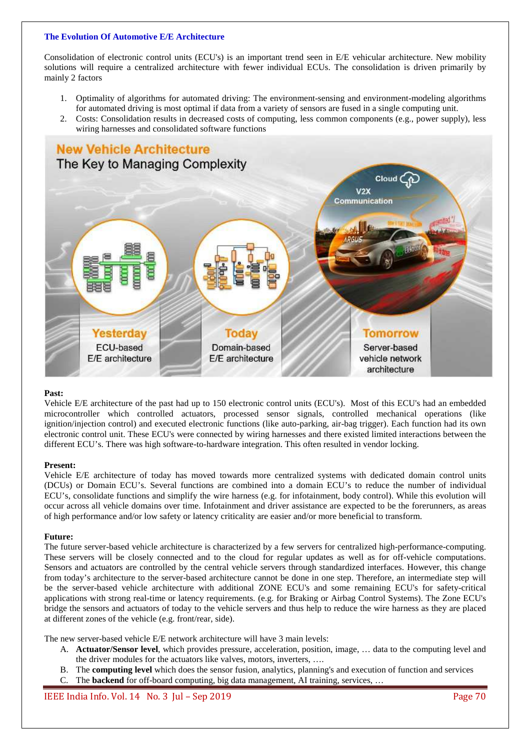# **The Evolution Of Automotive E/E Architecture**

Consolidation of electronic control units (ECU's) is an important trend seen in E/E vehicular architecture. New mobility solutions will require a centralized architecture with fewer individual ECUs. The consolidation is driven primarily by mainly 2 factors

- 1. Optimality of algorithms for automated driving: The environment-sensing and environment-modeling algorithms for automated driving is most optimal if data from a variety of sensors are fused in a single computing unit.
- 2. Costs: Consolidation results in decreased costs of computing, less common components (e.g., power supply), less wiring harnesses and consolidated software functions



# **Past:**

Vehicle E/E architecture of the past had up to 150 electronic control units (ECU's). Most of this ECU's had an embedded microcontroller which controlled actuators, processed sensor signals, controlled mechanical operations (like ignition/injection control) and executed electronic functions (like auto-parking, air-bag trigger). Each function had its own electronic control unit. These ECU's were connected by wiring harnesses and there existed limited interactions between the different ECU's. There was high software-to-hardware integration. This often resulted in vendor locking.

# **Present:**

Vehicle E/E architecture of today has moved towards more centralized systems with dedicated domain control units (DCUs) or Domain ECU's. Several functions are combined into a domain ECU's to reduce the number of individual ECU's, consolidate functions and simplify the wire harness (e.g. for infotainment, body control). While this evolution will occur across all vehicle domains over time. Infotainment and driver assistance are expected to be the forerunners, as areas of high performance and/or low safety or latency criticality are easier and/or more beneficial to transform.

# **Future:**

The future server-based vehicle architecture is characterized by a few servers for centralized high-performance-computing. These servers will be closely connected and to the cloud for regular updates as well as for off-vehicle computations. Sensors and actuators are controlled by the central vehicle servers through standardized interfaces. However, this change from today's architecture to the server-based architecture cannot be done in one step. Therefore, an intermediate step will be the server-based vehicle architecture with additional ZONE ECU's and some remaining ECU's for safety-critical applications with strong real-time or latency requirements. (e.g. for Braking or Airbag Control Systems). The Zone ECU's bridge the sensors and actuators of today to the vehicle servers and thus help to reduce the wire harness as they are placed at different zones of the vehicle (e.g. front/rear, side).

The new server-based vehicle E/E network architecture will have 3 main levels:

- A. **Actuator/Sensor level**, which provides pressure, acceleration, position, image, … data to the computing level and the driver modules for the actuators like valves, motors, inverters, ….
- B. The **computing level** which does the sensor fusion, analytics, planning's and execution of function and services
- C. The **backend** for off-board computing, big data management, AI training, services, …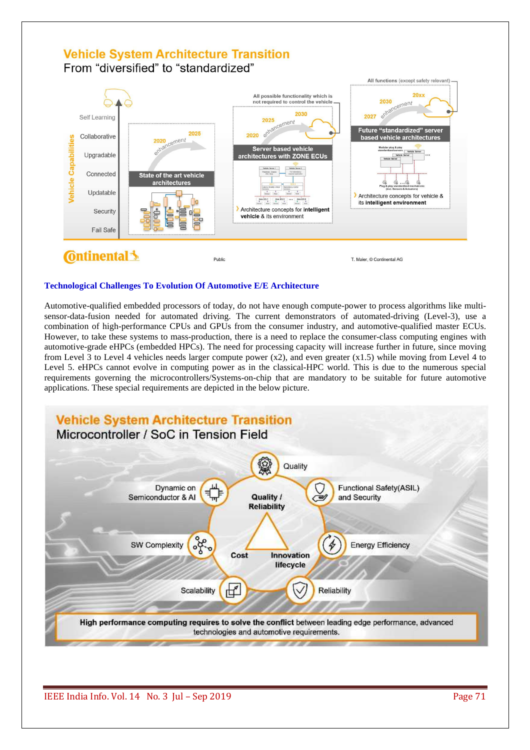# **Vehicle System Architecture Transition**

From "diversified" to "standardized"



# **Technological Challenges To Evolution Of Automotive E/E Architecture**

Automotive-qualified embedded processors of today, do not have enough compute-power to process algorithms like multisensor-data-fusion needed for automated driving. The current demonstrators of automated-driving (Level-3), use a combination of high-performance CPUs and GPUs from the consumer industry, and automotive-qualified master ECUs. However, to take these systems to mass-production, there is a need to replace the consumer-class computing engines with automotive-grade eHPCs (embedded HPCs). The need for processing capacity will increase further in future, since moving from Level 3 to Level 4 vehicles needs larger compute power  $(x2)$ , and even greater  $(x1.5)$  while moving from Level 4 to Level 5. eHPCs cannot evolve in computing power as in the classical-HPC world. This is due to the numerous special requirements governing the microcontrollers/Systems-on-chip that are mandatory to be suitable for future automotive applications. These special requirements are depicted in the below picture.

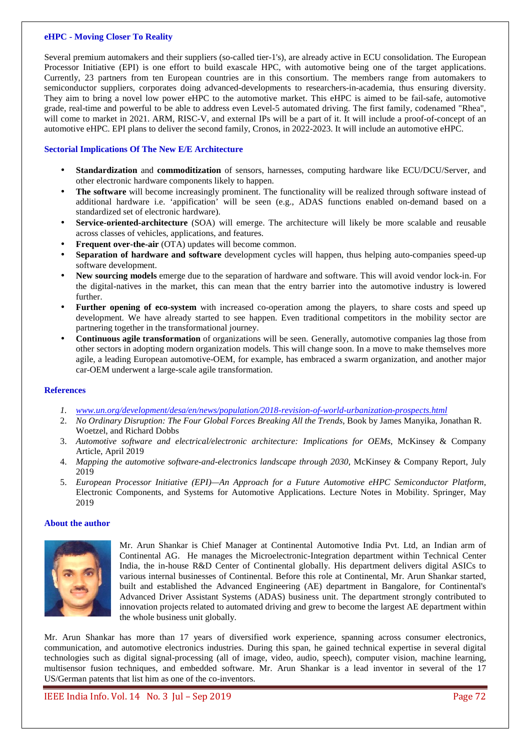#### **eHPC - Moving Closer To Reality**

Several premium automakers and their suppliers (so-called tier-1's), are already active in ECU consolidation. The European Processor Initiative (EPI) is one effort to build exascale HPC, with automotive being one of the target applications. Currently, 23 partners from ten European countries are in this consortium. The members range from automakers to semiconductor suppliers, corporates doing advanced-developments to researchers-in-academia, thus ensuring diversity. They aim to bring a novel low power eHPC to the automotive market. This eHPC is aimed to be fail-safe, automotive grade, real-time and powerful to be able to address even Level-5 automated driving. The first family, codenamed "Rhea", will come to market in 2021. ARM, RISC-V, and external IPs will be a part of it. It will include a proof-of-concept of an automotive eHPC. EPI plans to deliver the second family, Cronos, in 2022-2023. It will include an automotive eHPC.

# **Sectorial Implications Of The New E/E Architecture**

- **Standardization** and **commoditization** of sensors, harnesses, computing hardware like ECU/DCU/Server, and other electronic hardware components likely to happen.
- **The software** will become increasingly prominent. The functionality will be realized through software instead of additional hardware i.e. 'appification' will be seen (e.g., ADAS functions enabled on-demand based on a standardized set of electronic hardware).
- **Service-oriented-architecture** (SOA) will emerge. The architecture will likely be more scalable and reusable across classes of vehicles, applications, and features.
- **Frequent over-the-air** (OTA) updates will become common.
- **Separation of hardware and software** development cycles will happen, thus helping auto-companies speed-up software development.
- **New sourcing models** emerge due to the separation of hardware and software. This will avoid vendor lock-in. For the digital-natives in the market, this can mean that the entry barrier into the automotive industry is lowered further.
- **Further opening of eco-system** with increased co-operation among the players, to share costs and speed up development. We have already started to see happen. Even traditional competitors in the mobility sector are partnering together in the transformational journey.
- **Continuous agile transformation** of organizations will be seen. Generally, automotive companies lag those from other sectors in adopting modern organization models. This will change soon. In a move to make themselves more agile, a leading European automotive-OEM, for example, has embraced a swarm organization, and another major car-OEM underwent a large-scale agile transformation.

### **References**

- *1. www.un.org/development/desa/en/news/population/2018-revision-of-world-urbanization-prospects.html*
- 2. *No Ordinary Disruption: The Four Global Forces Breaking All the Trends*, Book by James Manyika, Jonathan R. Woetzel, and Richard Dobbs
- 3. *Automotive software and electrical/electronic architecture: Implications for OEMs*, McKinsey & Company Article, April 2019
- 4. *Mapping the automotive software-and-electronics landscape through 2030*, McKinsey & Company Report, July 2019
- 5. *European Processor Initiative (EPI)—An Approach for a Future Automotive eHPC Semiconductor Platform*, Electronic Components, and Systems for Automotive Applications. Lecture Notes in Mobility. Springer, May 2019

### **About the author**



Mr. Arun Shankar is Chief Manager at Continental Automotive India Pvt. Ltd, an Indian arm of Continental AG. He manages the Microelectronic-Integration department within Technical Center India, the in-house R&D Center of Continental globally. His department delivers digital ASICs to various internal businesses of Continental. Before this role at Continental, Mr. Arun Shankar started, built and established the Advanced Engineering (AE) department in Bangalore, for Continental's Advanced Driver Assistant Systems (ADAS) business unit. The department strongly contributed to innovation projects related to automated driving and grew to become the largest AE department within the whole business unit globally.

Mr. Arun Shankar has more than 17 years of diversified work experience, spanning across consumer electronics, communication, and automotive electronics industries. During this span, he gained technical expertise in several digital technologies such as digital signal-processing (all of image, video, audio, speech), computer vision, machine learning, multisensor fusion techniques, and embedded software. Mr. Arun Shankar is a lead inventor in several of the 17 US/German patents that list him as one of the co-inventors.

IEEE India Info. Vol. 14 No. 3 Jul – Sep 2019 Page 72